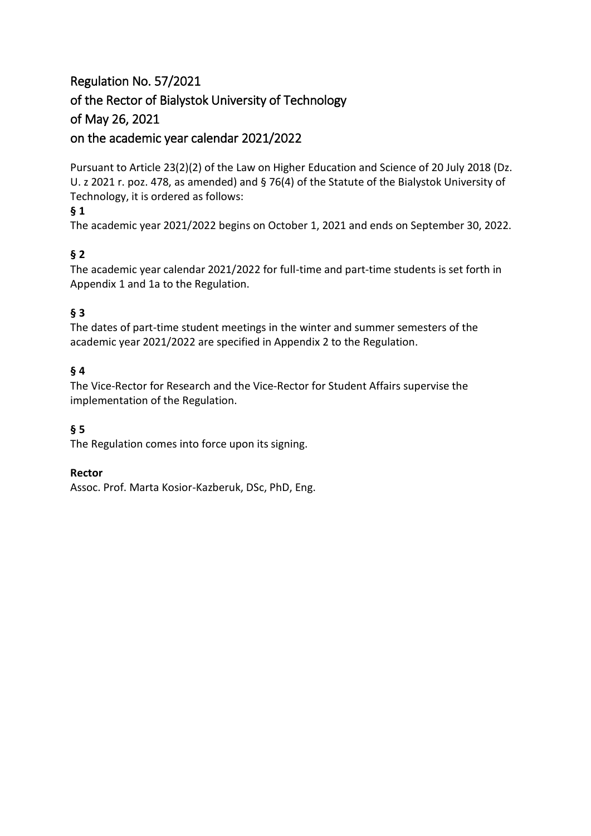# Regulation No. 57/2021 of the Rector of Bialystok University of Technology of May 26, 2021 on the academic year calendar 2021/2022

Pursuant to Article 23(2)(2) of the Law on Higher Education and Science of 20 July 2018 (Dz. U. z 2021 r. poz. 478, as amended) and § 76(4) of the Statute of the Bialystok University of Technology, it is ordered as follows:

# **§ 1**

The academic year 2021/2022 begins on October 1, 2021 and ends on September 30, 2022.

# **§ 2**

The academic year calendar 2021/2022 for full-time and part-time students is set forth in Appendix 1 and 1a to the Regulation.

# **§ 3**

The dates of part-time student meetings in the winter and summer semesters of the academic year 2021/2022 are specified in Appendix 2 to the Regulation.

## **§ 4**

The Vice-Rector for Research and the Vice-Rector for Student Affairs supervise the implementation of the Regulation.

## **§ 5**

The Regulation comes into force upon its signing.

### **Rector**

Assoc. Prof. Marta Kosior-Kazberuk, DSc, PhD, Eng.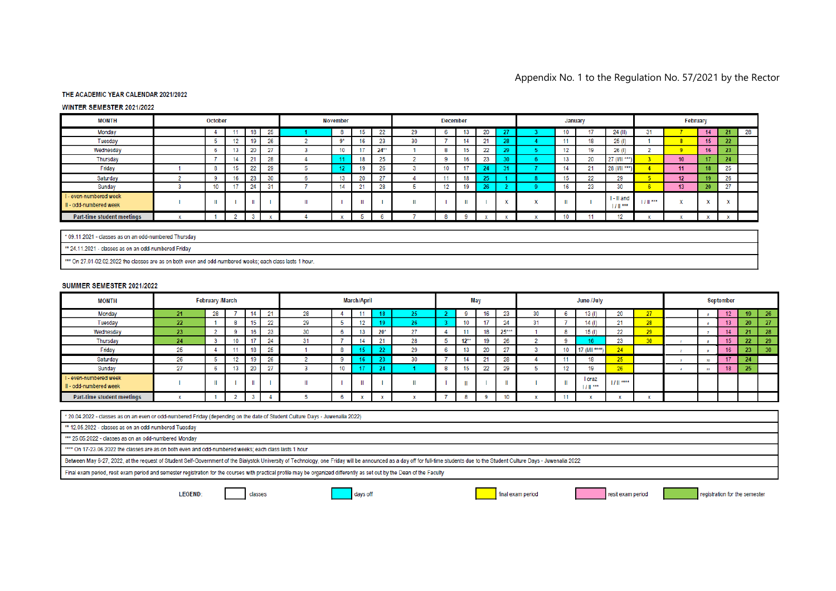### Appendix No. 1 to the Regulation No. 57/2021 by the Rector

### THE ACADEMIC YEAR CALENDAR 2021/2022

#### WINTER SEMESTER 2021/2022

| <b>MONTH</b>                                     | October |  |    |                  | <b>November</b> |  |    |           | <b>December</b> |    |                |     |              | January   |  |     |                   | February                 |          |              |                     |        |    |
|--------------------------------------------------|---------|--|----|------------------|-----------------|--|----|-----------|-----------------|----|----------------|-----|--------------|-----------|--|-----|-------------------|--------------------------|----------|--------------|---------------------|--------|----|
| Monday                                           |         |  |    | 18               | 25              |  | o  | 15        | 22              | 29 |                | 13. | nn.<br>zu    |           |  | 10  |                   | $24$ (II)                |          |              | 14                  |        | 28 |
| Tuesday                                          |         |  |    | 19               | 26              |  | n* | 16        | 23              | 30 |                | 14  | o.           |           |  | 4.4 | 18                | 25(1)                    |          |              | 15                  | 22     |    |
| Wednesday                                        |         |  |    | 20               | 27              |  | 10 | 47<br>-11 | $24**$          |    |                | 15  | nn.<br>$\mu$ | <b>DO</b> |  | 12  | 19                | 26(1)                    |          |              | 16                  | 23     |    |
| Thursday                                         |         |  | 14 | $\sim$           | 20<br>۷C        |  |    | 18        | nE.             |    |                | 16  | no.<br>20    | $\sim$    |  | 13  | 20                | $27$ (I/II ***)          |          | 10           | 17                  | 24     |    |
| Friday                                           |         |  |    | nn<br>$\epsilon$ | 20<br>$\sim$    |  |    | 19        | ne.<br>ΖU       |    |                | 47  | 94           |           |  | 14  | $^{24}$<br>$\sim$ | 28 (I/II ***)            |          | 11           | 18                  | 25     |    |
| Saturday                                         |         |  |    | 23               | 30              |  | 13 | 20        | 07              |    |                | 18  | --           |           |  | 15  | 22                | 29                       |          | 12           | 19                  | 26     |    |
| Sunday                                           |         |  |    | $^{\circ}$       | 24              |  | 14 | 21        | 28              |    | $\overline{a}$ | 19  | $\sim$       |           |  | 16  | 23                | 30                       |          | 13           | 20                  | 27     |    |
| I - even-numbered week<br>II - odd-numbered week |         |  |    |                  |                 |  |    |           |                 |    |                |     |              |           |  |     |                   | I - II and<br>1.7.11.999 | $111***$ | <b>START</b> | $\sim$<br>$\lambda$ | $\sim$ |    |
| Part-time student meetings                       |         |  |    |                  |                 |  |    |           |                 |    |                |     |              |           |  | 10  |                   |                          |          |              |                     |        |    |

\* 09.11.2021 - classes as on an odd-numbered Thursday

\*\* 24.11.2021 - classes as on an odd-numbered Friday

\*\*\* On 27.01-02.02.2022 the classes are as on both even and odd-numbered weeks; each class lasts 1 hour.

#### SUMMER SEMESTER 2021/2022

| <b>MONTH</b>                                     | <b>February /March</b> |    |    |                | <b>March/April</b> |     |    |    |          | May    |        |        |              | June /July |            |  |                    |            | September       |  |    |     |                 |    |
|--------------------------------------------------|------------------------|----|----|----------------|--------------------|-----|----|----|----------|--------|--------|--------|--------------|------------|------------|--|--------------------|------------|-----------------|--|----|-----|-----------------|----|
| Monday                                           | 21                     | 28 |    | $\overline{A}$ | $\Omega$           | 28  |    |    |          |        |        |        | 4.0          | 23         | 30         |  | 13(1)              | 20         | 27              |  |    | 12  | 19              | 26 |
| Tuesday                                          | 22                     |    |    | 15             | 00<br>"            | 29  |    | 12 |          | $\sim$ |        | 10     |              | 24         | <b>CLA</b> |  | 14(1)              | 21         | 28              |  |    |     | 20 <sup>o</sup> | 27 |
| Wednesday                                        | 23                     |    |    | 16             | C.<br>$\sim$       | 30  |    | 13 | $20*$    | 27     |        | 11     |              | $25***$    |            |  | 15(1)              | 22         | 29              |  |    | 14  |                 | 28 |
| Thursday                                         | 24                     |    | 10 | 47             | 24                 | . . |    | 14 | $^{0.4}$ | 28     |        | $12**$ |              | 26         |            |  |                    | 23         | 30 <sup>°</sup> |  |    | 4.5 |                 | 29 |
| Friday                                           | 25                     |    |    | 18             | OE.<br>zu          |     |    |    | າາ       | 29     |        | 13     | nn<br>$\sim$ | $^{07}$    |            |  | 17 /1/11 ****      | 24         |                 |  |    | 16  |                 | 30 |
| Saturday                                         | 26                     |    |    | 19             | 26                 |     |    |    |          | 30     |        |        | $^{24}$      | 28         |            |  | 18                 | 25         |                 |  |    | 47  | 24              |    |
| Sunday                                           | 27                     |    | 13 | no.<br>zu      | 67                 |     | 10 |    | -94      |        | $\sim$ | 15     | 22           | 29         |            |  | 19                 | 26         |                 |  | 44 | 18  | 25              |    |
| I - even-numbered week<br>II - odd-numbered week |                        |    |    |                |                    |     |    |    |          |        |        | ш      |              |            |            |  | I oraz<br>$111***$ | $111$ **** |                 |  |    |     |                 |    |
| Part-time student meetings                       |                        |    |    |                |                    |     |    |    |          |        |        |        |              |            |            |  |                    |            |                 |  |    |     |                 |    |

\* 20.04.2022 - classes as on an even or odd-numbered Friday (depending on the date of Student Culture Days - Juwenalia 2022)

\*\* 12.05.2022 - classes as on an odd-numbered Tuesday

\*\*\* 25.05.2022 - classes as on an odd-numbered Monday

\*\*\*\* On 17-23.06.2022 the classes are as on both even and odd-numbered weeks; each class lasts 1 hour

Between May 6-27, 2022, at the request of Student Self-Government of the Bialystok University of Technology, one Friday will be announced as a day off for full-time students due to the Student Culture Days - Juwenalia 2022

Final exam period, resit exam period and semester registration for the courses with practical profile may be organized differently as set out by the Dean of the Faculty

classes

LEGEND:

days off

final exam period

resit exam period

registration for the semester